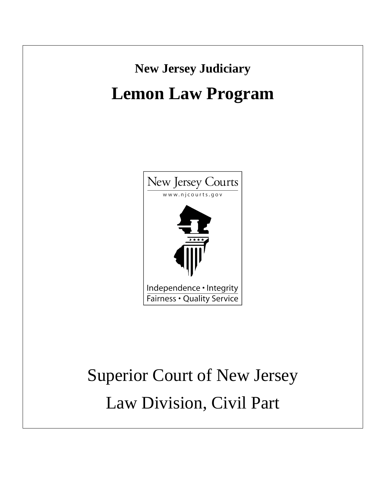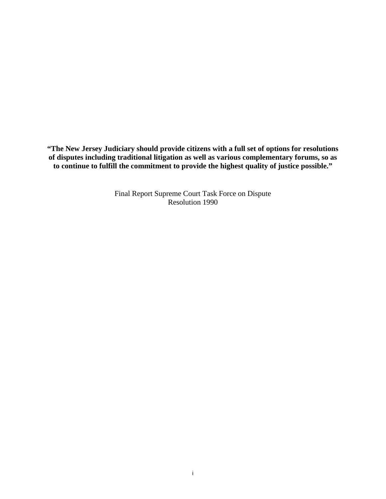**"The New Jersey Judiciary should provide citizens with a full set of options for resolutions of disputes including traditional litigation as well as various complementary forums, so as to continue to fulfill the commitment to provide the highest quality of justice possible."**

> Final Report Supreme Court Task Force on Dispute Resolution 1990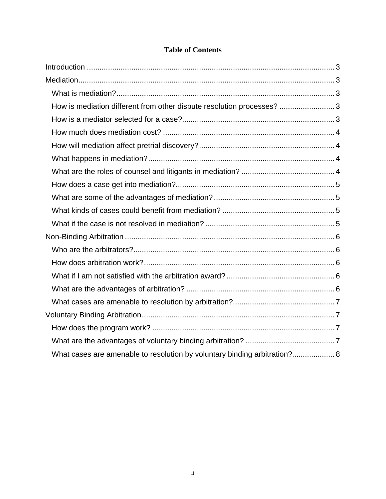| How is mediation different from other dispute resolution processes?  3    |
|---------------------------------------------------------------------------|
|                                                                           |
|                                                                           |
|                                                                           |
|                                                                           |
|                                                                           |
|                                                                           |
|                                                                           |
|                                                                           |
|                                                                           |
|                                                                           |
|                                                                           |
|                                                                           |
|                                                                           |
|                                                                           |
|                                                                           |
|                                                                           |
|                                                                           |
|                                                                           |
| What cases are amenable to resolution by voluntary binding arbitration? 8 |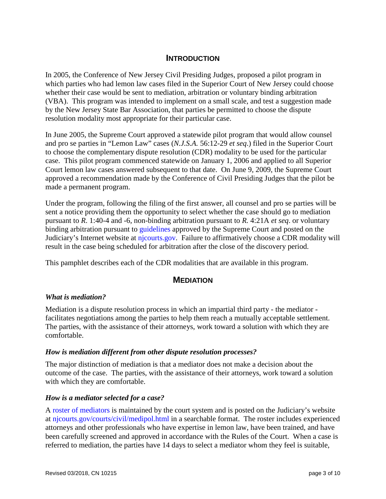## **INTRODUCTION**

<span id="page-3-0"></span>In 2005, the Conference of New Jersey Civil Presiding Judges, proposed a pilot program in which parties who had lemon law cases filed in the Superior Court of New Jersey could choose whether their case would be sent to mediation, arbitration or voluntary binding arbitration (VBA). This program was intended to implement on a small scale, and test a suggestion made by the New Jersey State Bar Association, that parties be permitted to choose the dispute resolution modality most appropriate for their particular case.

In June 2005, the Supreme Court approved a statewide pilot program that would allow counsel and pro se parties in "Lemon Law" cases (*N.J.S.A.* 56:12-29 *et seq*.) filed in the Superior Court to choose the complementary dispute resolution (CDR) modality to be used for the particular case. This pilot program commenced statewide on January 1, 2006 and applied to all Superior Court lemon law cases answered subsequent to that date. On June 9, 2009, the Supreme Court approved a recommendation made by the Conference of Civil Presiding Judges that the pilot be made a permanent program.

Under the program, following the filing of the first answer, all counsel and pro se parties will be sent a notice providing them the opportunity to select whether the case should go to mediation pursuant to *R*. 1:40-4 and -6, non-binding arbitration pursuant to *R.* 4:21A *et seq*. or voluntary binding arbitration pursuant to [guidelines](http://www.njcourts.gov/courts/assets/civil/vbaprogramguidelines.pdf) approved by the Supreme Court and posted on the Judiciary's Internet website at [njcourts.gov.](http://www.njcourts.gov/courts/assets/civil/vbaprogramguidelines.pdf) Failure to affirmatively choose a CDR modality will result in the case being scheduled for arbitration after the close of the discovery period.

<span id="page-3-1"></span>This pamphlet describes each of the CDR modalities that are available in this program.

## **MEDIATION**

#### <span id="page-3-2"></span>*What is mediation?*

Mediation is a dispute resolution process in which an impartial third party - the mediator facilitates negotiations among the parties to help them reach a mutually acceptable settlement. The parties, with the assistance of their attorneys, work toward a solution with which they are comfortable.

#### <span id="page-3-3"></span>*How is mediation different from other dispute resolution processes?*

The major distinction of mediation is that a mediator does not make a decision about the outcome of the case. The parties, with the assistance of their attorneys, work toward a solution with which they are comfortable.

#### <span id="page-3-4"></span>*How is a mediator selected for a case?*

A [roster of mediators](http://www.njcourts.gov/courts/civil/medipol.html) is maintained by the court system and is posted on the Judiciary's website at [njcourts.gov/courts/civil/medipol.html](http://www.njcourts.gov/courts/civil/medipol.html) in a searchable format. The roster includes experienced attorneys and other professionals who have expertise in lemon law, have been trained, and have been carefully screened and approved in accordance with the Rules of the Court. When a case is referred to mediation, the parties have 14 days to select a mediator whom they feel is suitable,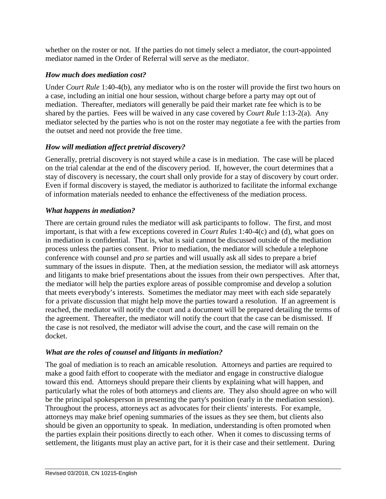whether on the roster or not. If the parties do not timely select a mediator, the court-appointed mediator named in the Order of Referral will serve as the mediator.

## <span id="page-4-0"></span>*How much does mediation cost?*

Under *Court Rule* 1:40-4(b), any mediator who is on the roster will provide the first two hours on a case, including an initial one hour session, without charge before a party may opt out of mediation. Thereafter, mediators will generally be paid their market rate fee which is to be shared by the parties. Fees will be waived in any case covered by *Court Rule* 1:13-2(a). Any mediator selected by the parties who is not on the roster may negotiate a fee with the parties from the outset and need not provide the free time.

## <span id="page-4-1"></span>*How will mediation affect pretrial discovery?*

Generally, pretrial discovery is not stayed while a case is in mediation. The case will be placed on the trial calendar at the end of the discovery period. If, however, the court determines that a stay of discovery is necessary, the court shall only provide for a stay of discovery by court order. Even if formal discovery is stayed, the mediator is authorized to facilitate the informal exchange of information materials needed to enhance the effectiveness of the mediation process.

# <span id="page-4-2"></span>*What happens in mediation?*

There are certain ground rules the mediator will ask participants to follow. The first, and most important, is that with a few exceptions covered in *Court Rules* 1:40-4(c) and (d), what goes on in mediation is confidential. That is, what is said cannot be discussed outside of the mediation process unless the parties consent. Prior to mediation, the mediator will schedule a telephone conference with counsel and *pro se* parties and will usually ask all sides to prepare a brief summary of the issues in dispute. Then, at the mediation session, the mediator will ask attorneys and litigants to make brief presentations about the issues from their own perspectives. After that, the mediator will help the parties explore areas of possible compromise and develop a solution that meets everybody's interests. Sometimes the mediator may meet with each side separately for a private discussion that might help move the parties toward a resolution. If an agreement is reached, the mediator will notify the court and a document will be prepared detailing the terms of the agreement. Thereafter, the mediator will notify the court that the case can be dismissed. If the case is not resolved, the mediator will advise the court, and the case will remain on the docket.

## <span id="page-4-3"></span>*What are the roles of counsel and litigants in mediation?*

The goal of mediation is to reach an amicable resolution. Attorneys and parties are required to make a good faith effort to cooperate with the mediator and engage in constructive dialogue toward this end. Attorneys should prepare their clients by explaining what will happen, and particularly what the roles of both attorneys and clients are. They also should agree on who will be the principal spokesperson in presenting the party's position (early in the mediation session). Throughout the process, attorneys act as advocates for their clients' interests. For example, attorneys may make brief opening summaries of the issues as they see them, but clients also should be given an opportunity to speak. In mediation, understanding is often promoted when the parties explain their positions directly to each other. When it comes to discussing terms of settlement, the litigants must play an active part, for it is their case and their settlement. During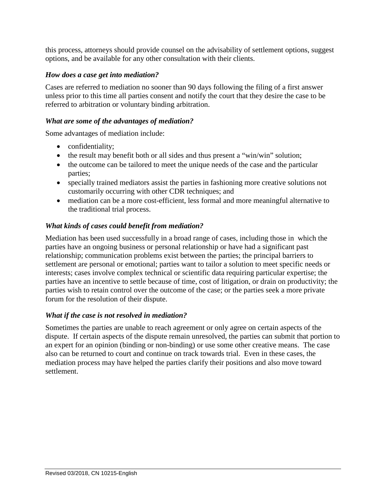this process, attorneys should provide counsel on the advisability of settlement options, suggest options, and be available for any other consultation with their clients.

### <span id="page-5-0"></span>*How does a case get into mediation?*

Cases are referred to mediation no sooner than 90 days following the filing of a first answer unless prior to this time all parties consent and notify the court that they desire the case to be referred to arbitration or voluntary binding arbitration.

### <span id="page-5-1"></span>*What are some of the advantages of mediation?*

Some advantages of mediation include:

- confidentiality;
- the result may benefit both or all sides and thus present a "win/win" solution;
- the outcome can be tailored to meet the unique needs of the case and the particular parties;
- specially trained mediators assist the parties in fashioning more creative solutions not customarily occurring with other CDR techniques; and
- mediation can be a more cost-efficient, less formal and more meaningful alternative to the traditional trial process.

## <span id="page-5-2"></span>*What kinds of cases could benefit from mediation?*

Mediation has been used successfully in a broad range of cases, including those in which the parties have an ongoing business or personal relationship or have had a significant past relationship; communication problems exist between the parties; the principal barriers to settlement are personal or emotional; parties want to tailor a solution to meet specific needs or interests; cases involve complex technical or scientific data requiring particular expertise; the parties have an incentive to settle because of time, cost of litigation, or drain on productivity; the parties wish to retain control over the outcome of the case; or the parties seek a more private forum for the resolution of their dispute.

### <span id="page-5-3"></span>*What if the case is not resolved in mediation?*

Sometimes the parties are unable to reach agreement or only agree on certain aspects of the dispute. If certain aspects of the dispute remain unresolved, the parties can submit that portion to an expert for an opinion (binding or non-binding) or use some other creative means. The case also can be returned to court and continue on track towards trial. Even in these cases, the mediation process may have helped the parties clarify their positions and also move toward settlement.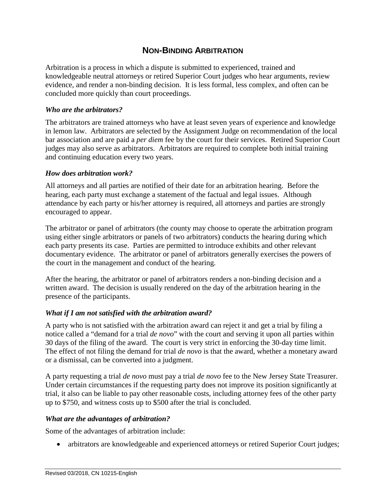# **NON-BINDING ARBITRATION**

<span id="page-6-0"></span>Arbitration is a process in which a dispute is submitted to experienced, trained and knowledgeable neutral attorneys or retired Superior Court judges who hear arguments, review evidence, and render a non-binding decision. It is less formal, less complex, and often can be concluded more quickly than court proceedings.

### <span id="page-6-1"></span>*Who are the arbitrators?*

The arbitrators are trained attorneys who have at least seven years of experience and knowledge in lemon law. Arbitrators are selected by the Assignment Judge on recommendation of the local bar association and are paid a *per diem* fee by the court for their services. Retired Superior Court judges may also serve as arbitrators. Arbitrators are required to complete both initial training and continuing education every two years.

#### <span id="page-6-2"></span>*How does arbitration work?*

All attorneys and all parties are notified of their date for an arbitration hearing. Before the hearing, each party must exchange a statement of the factual and legal issues. Although attendance by each party or his/her attorney is required, all attorneys and parties are strongly encouraged to appear.

The arbitrator or panel of arbitrators (the county may choose to operate the arbitration program using either single arbitrators or panels of two arbitrators) conducts the hearing during which each party presents its case. Parties are permitted to introduce exhibits and other relevant documentary evidence. The arbitrator or panel of arbitrators generally exercises the powers of the court in the management and conduct of the hearing.

After the hearing, the arbitrator or panel of arbitrators renders a non-binding decision and a written award. The decision is usually rendered on the day of the arbitration hearing in the presence of the participants.

### <span id="page-6-3"></span>*What if I am not satisfied with the arbitration award?*

A party who is not satisfied with the arbitration award can reject it and get a trial by filing a notice called a "demand for a trial *de novo*" with the court and serving it upon all parties within 30 days of the filing of the award. The court is very strict in enforcing the 30-day time limit. The effect of not filing the demand for trial *de novo* is that the award, whether a monetary award or a dismissal, can be converted into a judgment.

A party requesting a trial *de novo* must pay a trial *de novo* fee to the New Jersey State Treasurer. Under certain circumstances if the requesting party does not improve its position significantly at trial, it also can be liable to pay other reasonable costs, including attorney fees of the other party up to \$750, and witness costs up to \$500 after the trial is concluded.

### <span id="page-6-4"></span>*What are the advantages of arbitration?*

Some of the advantages of arbitration include:

• arbitrators are knowledgeable and experienced attorneys or retired Superior Court judges;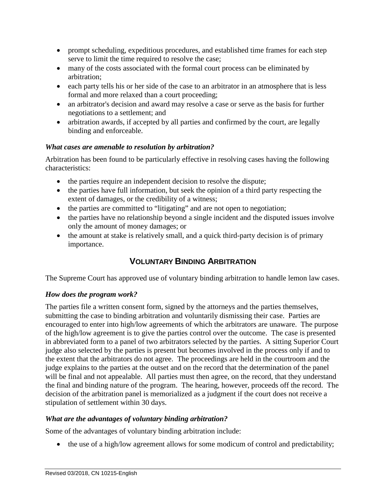- prompt scheduling, expeditious procedures, and established time frames for each step serve to limit the time required to resolve the case;
- many of the costs associated with the formal court process can be eliminated by arbitration;
- each party tells his or her side of the case to an arbitrator in an atmosphere that is less formal and more relaxed than a court proceeding;
- an arbitrator's decision and award may resolve a case or serve as the basis for further negotiations to a settlement; and
- arbitration awards, if accepted by all parties and confirmed by the court, are legally binding and enforceable.

## <span id="page-7-0"></span>*What cases are amenable to resolution by arbitration?*

Arbitration has been found to be particularly effective in resolving cases having the following characteristics:

- the parties require an independent decision to resolve the dispute;
- the parties have full information, but seek the opinion of a third party respecting the extent of damages, or the credibility of a witness;
- the parties are committed to "litigating" and are not open to negotiation;
- the parties have no relationship beyond a single incident and the disputed issues involve only the amount of money damages; or
- <span id="page-7-1"></span>• the amount at stake is relatively small, and a quick third-party decision is of primary importance.

# **VOLUNTARY BINDING ARBITRATION**

The Supreme Court has approved use of voluntary binding arbitration to handle lemon law cases.

# <span id="page-7-2"></span>*How does the program work?*

The parties file a written consent form, signed by the attorneys and the parties themselves, submitting the case to binding arbitration and voluntarily dismissing their case. Parties are encouraged to enter into high/low agreements of which the arbitrators are unaware. The purpose of the high/low agreement is to give the parties control over the outcome. The case is presented in abbreviated form to a panel of two arbitrators selected by the parties. A sitting Superior Court judge also selected by the parties is present but becomes involved in the process only if and to the extent that the arbitrators do not agree. The proceedings are held in the courtroom and the judge explains to the parties at the outset and on the record that the determination of the panel will be final and not appealable. All parties must then agree, on the record, that they understand the final and binding nature of the program. The hearing, however, proceeds off the record. The decision of the arbitration panel is memorialized as a judgment if the court does not receive a stipulation of settlement within 30 days.

## <span id="page-7-3"></span>*What are the advantages of voluntary binding arbitration?*

Some of the advantages of voluntary binding arbitration include:

• the use of a high/low agreement allows for some modicum of control and predictability;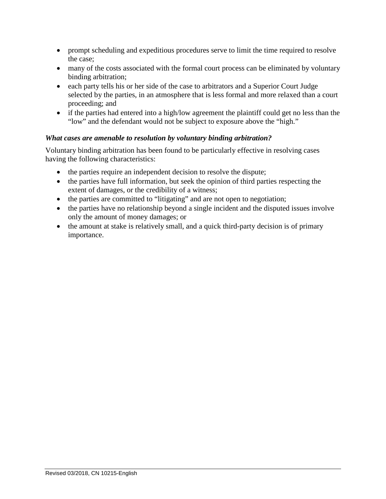- prompt scheduling and expeditious procedures serve to limit the time required to resolve the case;
- many of the costs associated with the formal court process can be eliminated by voluntary binding arbitration;
- each party tells his or her side of the case to arbitrators and a Superior Court Judge selected by the parties, in an atmosphere that is less formal and more relaxed than a court proceeding; and
- if the parties had entered into a high/low agreement the plaintiff could get no less than the "low" and the defendant would not be subject to exposure above the "high."

## <span id="page-8-0"></span>*What cases are amenable to resolution by voluntary binding arbitration?*

Voluntary binding arbitration has been found to be particularly effective in resolving cases having the following characteristics:

- the parties require an independent decision to resolve the dispute;
- the parties have full information, but seek the opinion of third parties respecting the extent of damages, or the credibility of a witness;
- the parties are committed to "litigating" and are not open to negotiation;
- the parties have no relationship beyond a single incident and the disputed issues involve only the amount of money damages; or
- the amount at stake is relatively small, and a quick third-party decision is of primary importance.